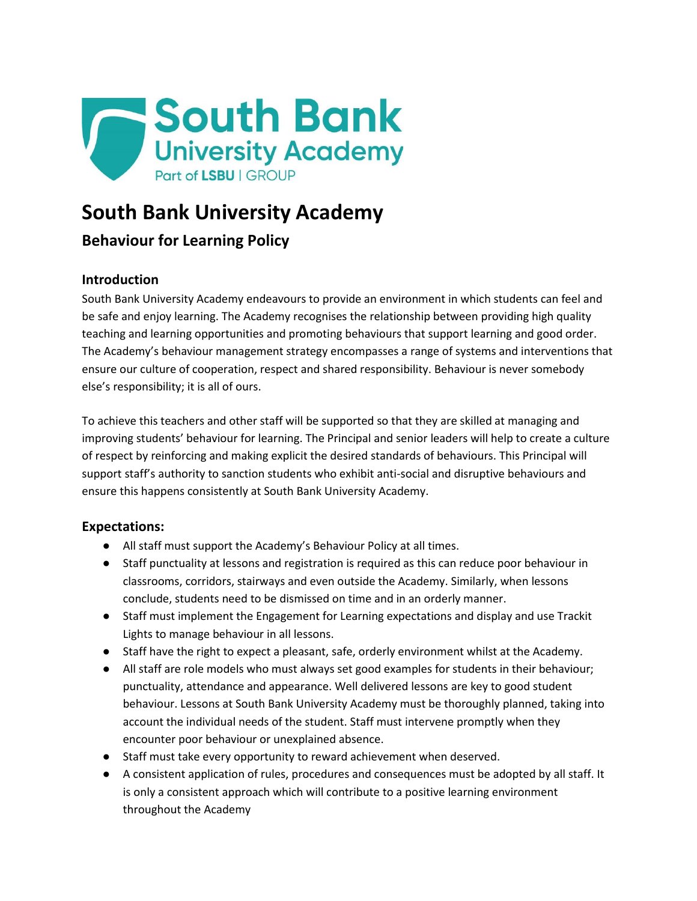

# **South Bank University Academy**

## **Behaviour for Learning Policy**

## **Introduction**

South Bank University Academy endeavours to provide an environment in which students can feel and be safe and enjoy learning. The Academy recognises the relationship between providing high quality teaching and learning opportunities and promoting behaviours that support learning and good order. The Academy's behaviour management strategy encompasses a range of systems and interventions that ensure our culture of cooperation, respect and shared responsibility. Behaviour is never somebody else's responsibility; it is all of ours.

To achieve this teachers and other staff will be supported so that they are skilled at managing and improving students' behaviour for learning. The Principal and senior leaders will help to create a culture of respect by reinforcing and making explicit the desired standards of behaviours. This Principal will support staff's authority to sanction students who exhibit anti-social and disruptive behaviours and ensure this happens consistently at South Bank University Academy.

## **Expectations:**

- All staff must support the Academy's Behaviour Policy at all times.
- Staff punctuality at lessons and registration is required as this can reduce poor behaviour in classrooms, corridors, stairways and even outside the Academy. Similarly, when lessons conclude, students need to be dismissed on time and in an orderly manner.
- Staff must implement the Engagement for Learning expectations and display and use Trackit Lights to manage behaviour in all lessons.
- Staff have the right to expect a pleasant, safe, orderly environment whilst at the Academy.
- All staff are role models who must always set good examples for students in their behaviour; punctuality, attendance and appearance. Well delivered lessons are key to good student behaviour. Lessons at South Bank University Academy must be thoroughly planned, taking into account the individual needs of the student. Staff must intervene promptly when they encounter poor behaviour or unexplained absence.
- Staff must take every opportunity to reward achievement when deserved.
- A consistent application of rules, procedures and consequences must be adopted by all staff. It is only a consistent approach which will contribute to a positive learning environment throughout the Academy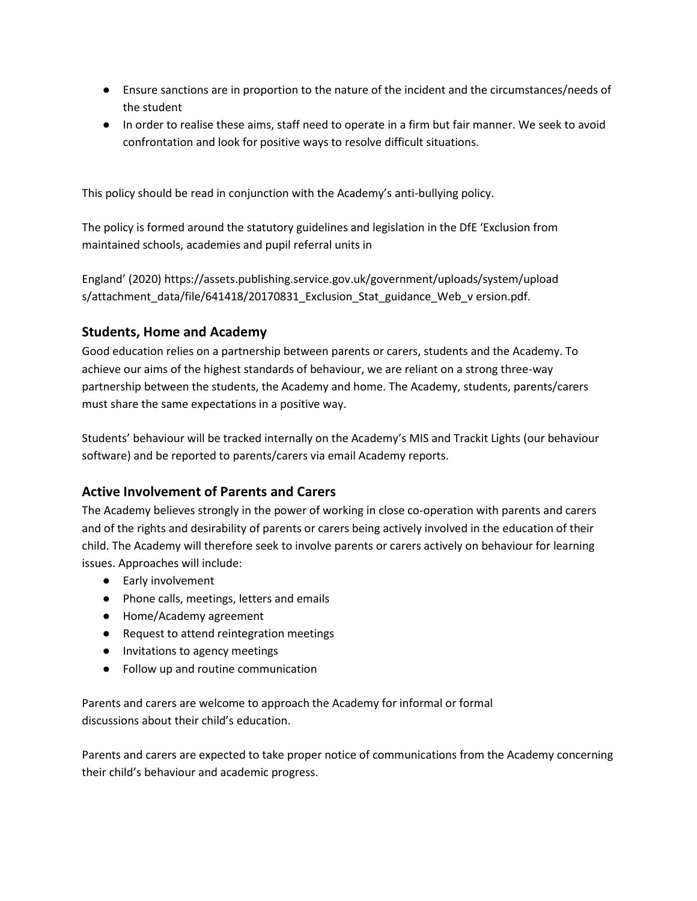- Ensure sanctions are in proportion to the nature of the incident and the circumstances/needs of the student
- In order to realise these aims, staff need to operate in a firm but fair manner. We seek to avoid confrontation and look for positive ways to resolve difficult situations.

This policy should be read in conjunction with the Academy's anti-bullying policy.

The policy is formed around the statutory guidelines and legislation in the DfE 'Exclusion from maintained schools, academies and pupil referral units in

England' (2020) https://assets.publishing.service.gov.uk/government/uploads/system/upload s/attachment\_data/file/641418/20170831\_Exclusion\_Stat\_guidance\_Web\_v ersion.pdf.

## **Students, Home and Academy**

Good education relies on a partnership between parents or carers, students and the Academy. To achieve our aims of the highest standards of behaviour, we are reliant on a strong three-way partnership between the students, the Academy and home. The Academy, students, parents/carers must share the same expectations in a positive way.

Students' behaviour will be tracked internally on the Academy's MIS and Trackit Lights (our behaviour software) and be reported to parents/carers via email Academy reports.

## **Active Involvement of Parents and Carers**

The Academy believes strongly in the power of working in close co-operation with parents and carers and of the rights and desirability of parents or carers being actively involved in the education of their child. The Academy will therefore seek to involve parents or carers actively on behaviour for learning issues. Approaches will include:

- Early involvement
- Phone calls, meetings, letters and emails
- Home/Academy agreement
- Request to attend reintegration meetings
- Invitations to agency meetings
- Follow up and routine communication

Parents and carers are welcome to approach the Academy for informal or formal discussions about their child's education.

Parents and carers are expected to take proper notice of communications from the Academy concerning their child's behaviour and academic progress.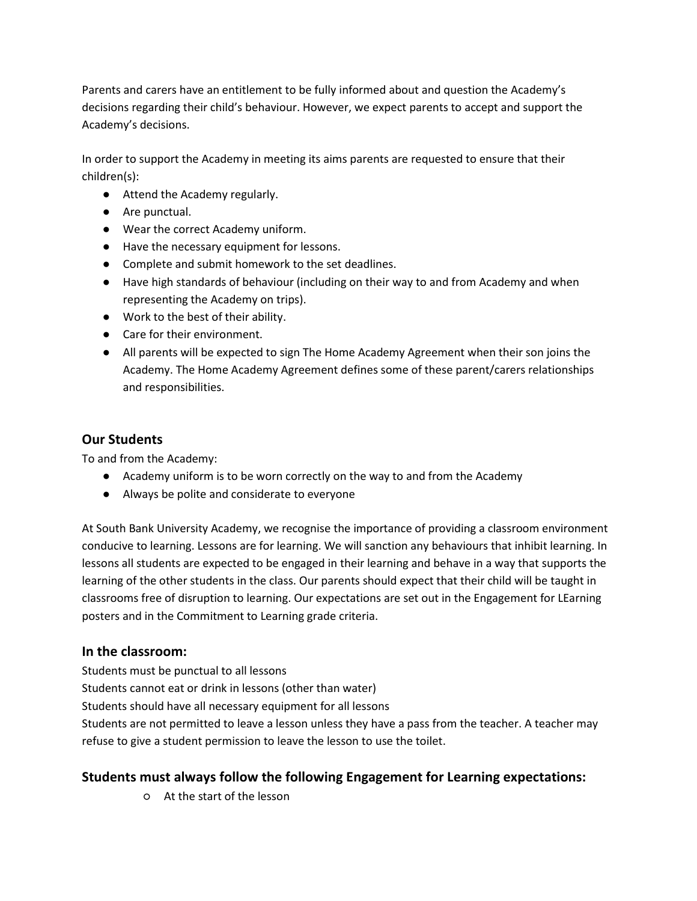Parents and carers have an entitlement to be fully informed about and question the Academy's decisions regarding their child's behaviour. However, we expect parents to accept and support the Academy's decisions.

In order to support the Academy in meeting its aims parents are requested to ensure that their children(s):

- Attend the Academy regularly.
- Are punctual.
- Wear the correct Academy uniform.
- Have the necessary equipment for lessons.
- Complete and submit homework to the set deadlines.
- Have high standards of behaviour (including on their way to and from Academy and when representing the Academy on trips).
- Work to the best of their ability.
- Care for their environment.
- All parents will be expected to sign The Home Academy Agreement when their son joins the Academy. The Home Academy Agreement defines some of these parent/carers relationships and responsibilities.

#### **Our Students**

To and from the Academy:

- Academy uniform is to be worn correctly on the way to and from the Academy
- Always be polite and considerate to everyone

At South Bank University Academy, we recognise the importance of providing a classroom environment conducive to learning. Lessons are for learning. We will sanction any behaviours that inhibit learning. In lessons all students are expected to be engaged in their learning and behave in a way that supports the learning of the other students in the class. Our parents should expect that their child will be taught in classrooms free of disruption to learning. Our expectations are set out in the Engagement for LEarning posters and in the Commitment to Learning grade criteria.

#### **In the classroom:**

Students must be punctual to all lessons Students cannot eat or drink in lessons (other than water) Students should have all necessary equipment for all lessons Students are not permitted to leave a lesson unless they have a pass from the teacher. A teacher may refuse to give a student permission to leave the lesson to use the toilet.

## **Students must always follow the following Engagement for Learning expectations:**

○ At the start of the lesson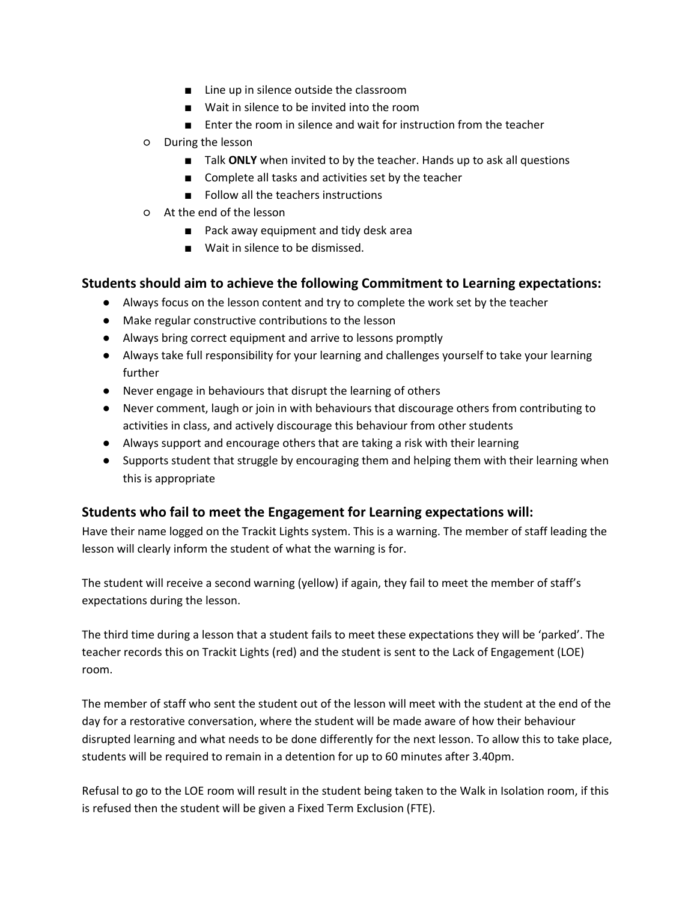- Line up in silence outside the classroom
- Wait in silence to be invited into the room
- Enter the room in silence and wait for instruction from the teacher
- During the lesson
	- Talk ONLY when invited to by the teacher. Hands up to ask all questions
	- Complete all tasks and activities set by the teacher
	- Follow all the teachers instructions
- At the end of the lesson
	- Pack away equipment and tidy desk area
	- Wait in silence to be dismissed.

#### **Students should aim to achieve the following Commitment to Learning expectations:**

- Always focus on the lesson content and try to complete the work set by the teacher
- Make regular constructive contributions to the lesson
- Always bring correct equipment and arrive to lessons promptly
- Always take full responsibility for your learning and challenges yourself to take your learning further
- Never engage in behaviours that disrupt the learning of others
- Never comment, laugh or join in with behaviours that discourage others from contributing to activities in class, and actively discourage this behaviour from other students
- Always support and encourage others that are taking a risk with their learning
- Supports student that struggle by encouraging them and helping them with their learning when this is appropriate

#### **Students who fail to meet the Engagement for Learning expectations will:**

Have their name logged on the Trackit Lights system. This is a warning. The member of staff leading the lesson will clearly inform the student of what the warning is for.

The student will receive a second warning (yellow) if again, they fail to meet the member of staff's expectations during the lesson.

The third time during a lesson that a student fails to meet these expectations they will be 'parked'. The teacher records this on Trackit Lights (red) and the student is sent to the Lack of Engagement (LOE) room.

The member of staff who sent the student out of the lesson will meet with the student at the end of the day for a restorative conversation, where the student will be made aware of how their behaviour disrupted learning and what needs to be done differently for the next lesson. To allow this to take place, students will be required to remain in a detention for up to 60 minutes after 3.40pm.

Refusal to go to the LOE room will result in the student being taken to the Walk in Isolation room, if this is refused then the student will be given a Fixed Term Exclusion (FTE).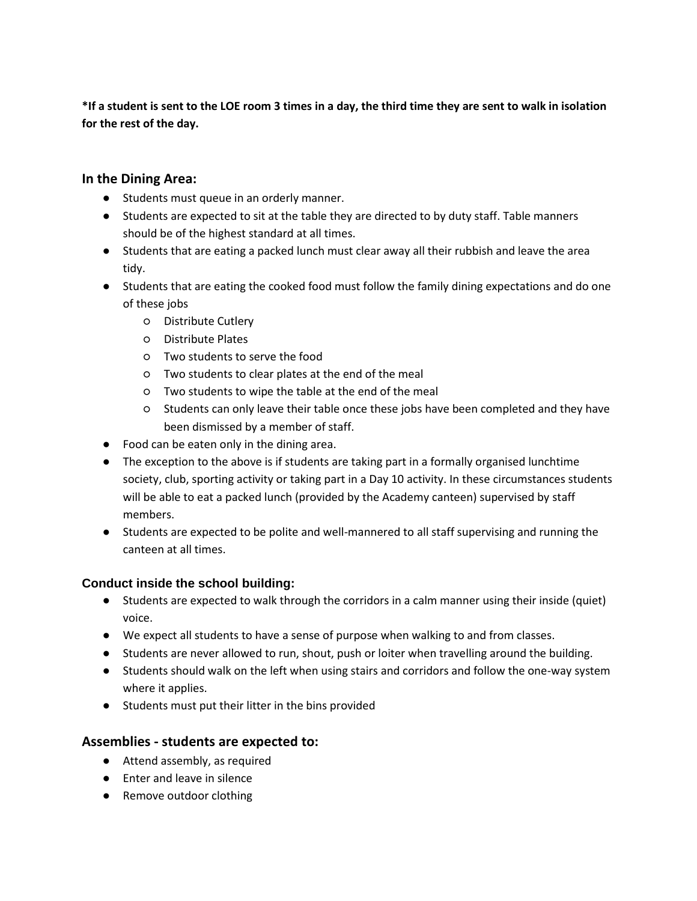**\*If a student is sent to the LOE room 3 times in a day, the third time they are sent to walk in isolation for the rest of the day.**

#### **In the Dining Area:**

- Students must queue in an orderly manner.
- Students are expected to sit at the table they are directed to by duty staff. Table manners should be of the highest standard at all times.
- Students that are eating a packed lunch must clear away all their rubbish and leave the area tidy.
- Students that are eating the cooked food must follow the family dining expectations and do one of these jobs
	- Distribute Cutlery
	- Distribute Plates
	- Two students to serve the food
	- Two students to clear plates at the end of the meal
	- Two students to wipe the table at the end of the meal
	- Students can only leave their table once these jobs have been completed and they have been dismissed by a member of staff.
- Food can be eaten only in the dining area.
- The exception to the above is if students are taking part in a formally organised lunchtime society, club, sporting activity or taking part in a Day 10 activity. In these circumstances students will be able to eat a packed lunch (provided by the Academy canteen) supervised by staff members.
- Students are expected to be polite and well-mannered to all staff supervising and running the canteen at all times.

#### **Conduct inside the school building:**

- Students are expected to walk through the corridors in a calm manner using their inside (quiet) voice.
- We expect all students to have a sense of purpose when walking to and from classes.
- Students are never allowed to run, shout, push or loiter when travelling around the building.
- Students should walk on the left when using stairs and corridors and follow the one-way system where it applies.
- Students must put their litter in the bins provided

## **Assemblies - students are expected to:**

- Attend assembly, as required
- Enter and leave in silence
- Remove outdoor clothing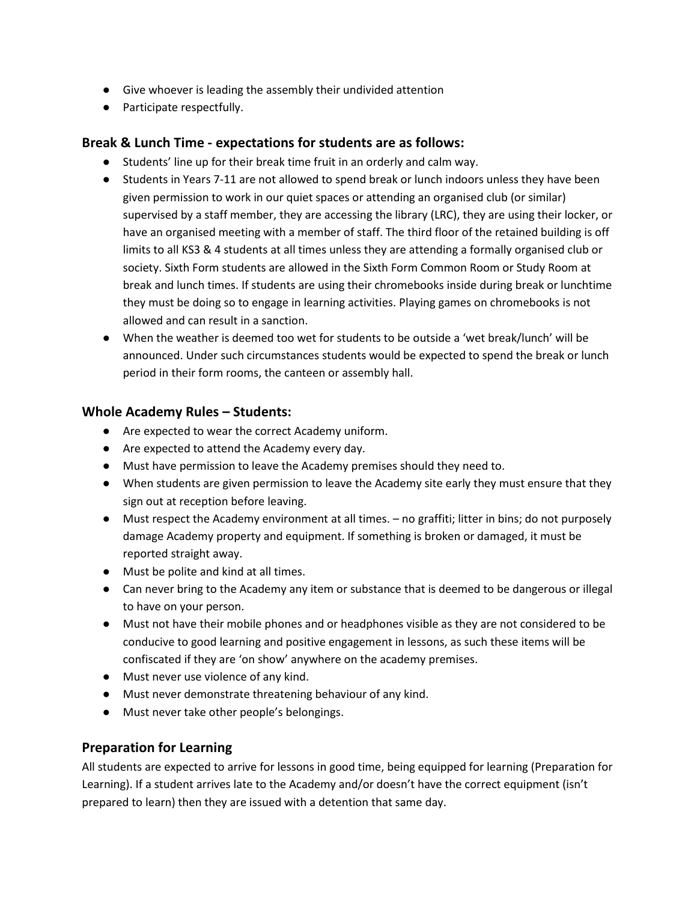- Give whoever is leading the assembly their undivided attention
- Participate respectfully.

#### **Break & Lunch Time - expectations for students are as follows:**

- Students' line up for their break time fruit in an orderly and calm way.
- Students in Years 7-11 are not allowed to spend break or lunch indoors unless they have been given permission to work in our quiet spaces or attending an organised club (or similar) supervised by a staff member, they are accessing the library (LRC), they are using their locker, or have an organised meeting with a member of staff. The third floor of the retained building is off limits to all KS3 & 4 students at all times unless they are attending a formally organised club or society. Sixth Form students are allowed in the Sixth Form Common Room or Study Room at break and lunch times. If students are using their chromebooks inside during break or lunchtime they must be doing so to engage in learning activities. Playing games on chromebooks is not allowed and can result in a sanction.
- When the weather is deemed too wet for students to be outside a 'wet break/lunch' will be announced. Under such circumstances students would be expected to spend the break or lunch period in their form rooms, the canteen or assembly hall.

#### **Whole Academy Rules – Students:**

- Are expected to wear the correct Academy uniform.
- Are expected to attend the Academy every day.
- Must have permission to leave the Academy premises should they need to.
- When students are given permission to leave the Academy site early they must ensure that they sign out at reception before leaving.
- Must respect the Academy environment at all times. no graffiti; litter in bins; do not purposely damage Academy property and equipment. If something is broken or damaged, it must be reported straight away.
- Must be polite and kind at all times.
- Can never bring to the Academy any item or substance that is deemed to be dangerous or illegal to have on your person.
- Must not have their mobile phones and or headphones visible as they are not considered to be conducive to good learning and positive engagement in lessons, as such these items will be confiscated if they are 'on show' anywhere on the academy premises.
- Must never use violence of any kind.
- Must never demonstrate threatening behaviour of any kind.
- Must never take other people's belongings.

#### **Preparation for Learning**

All students are expected to arrive for lessons in good time, being equipped for learning (Preparation for Learning). If a student arrives late to the Academy and/or doesn't have the correct equipment (isn't prepared to learn) then they are issued with a detention that same day.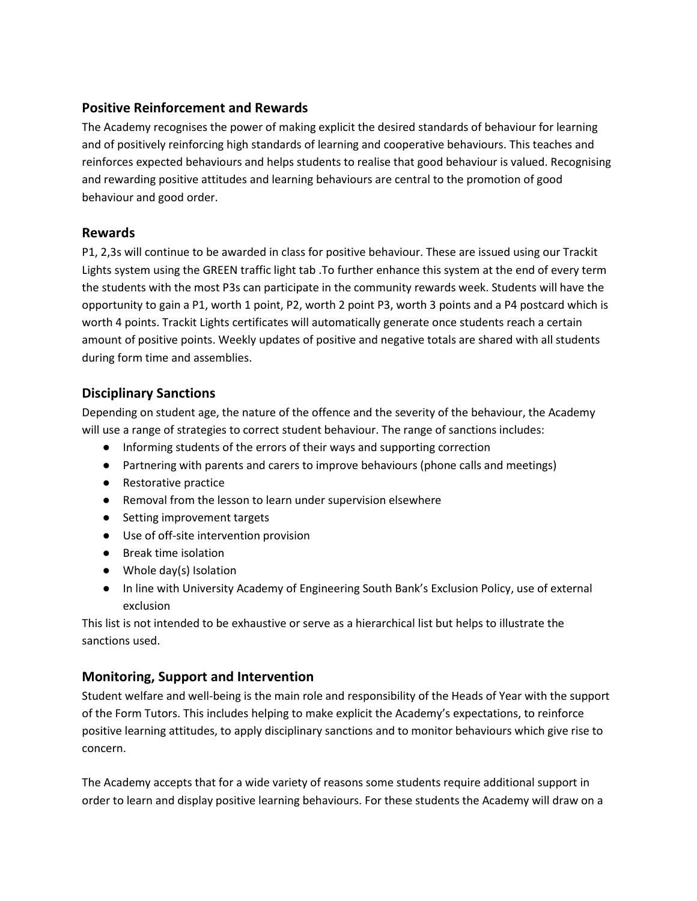## **Positive Reinforcement and Rewards**

The Academy recognises the power of making explicit the desired standards of behaviour for learning and of positively reinforcing high standards of learning and cooperative behaviours. This teaches and reinforces expected behaviours and helps students to realise that good behaviour is valued. Recognising and rewarding positive attitudes and learning behaviours are central to the promotion of good behaviour and good order.

## **Rewards**

P1, 2,3s will continue to be awarded in class for positive behaviour. These are issued using our Trackit Lights system using the GREEN traffic light tab .To further enhance this system at the end of every term the students with the most P3s can participate in the community rewards week. Students will have the opportunity to gain a P1, worth 1 point, P2, worth 2 point P3, worth 3 points and a P4 postcard which is worth 4 points. Trackit Lights certificates will automatically generate once students reach a certain amount of positive points. Weekly updates of positive and negative totals are shared with all students during form time and assemblies.

## **Disciplinary Sanctions**

Depending on student age, the nature of the offence and the severity of the behaviour, the Academy will use a range of strategies to correct student behaviour. The range of sanctions includes:

- Informing students of the errors of their ways and supporting correction
- Partnering with parents and carers to improve behaviours (phone calls and meetings)
- Restorative practice
- Removal from the lesson to learn under supervision elsewhere
- Setting improvement targets
- Use of off-site intervention provision
- Break time isolation
- Whole day(s) Isolation
- In line with University Academy of Engineering South Bank's Exclusion Policy, use of external exclusion

This list is not intended to be exhaustive or serve as a hierarchical list but helps to illustrate the sanctions used.

## **Monitoring, Support and Intervention**

Student welfare and well-being is the main role and responsibility of the Heads of Year with the support of the Form Tutors. This includes helping to make explicit the Academy's expectations, to reinforce positive learning attitudes, to apply disciplinary sanctions and to monitor behaviours which give rise to concern.

The Academy accepts that for a wide variety of reasons some students require additional support in order to learn and display positive learning behaviours. For these students the Academy will draw on a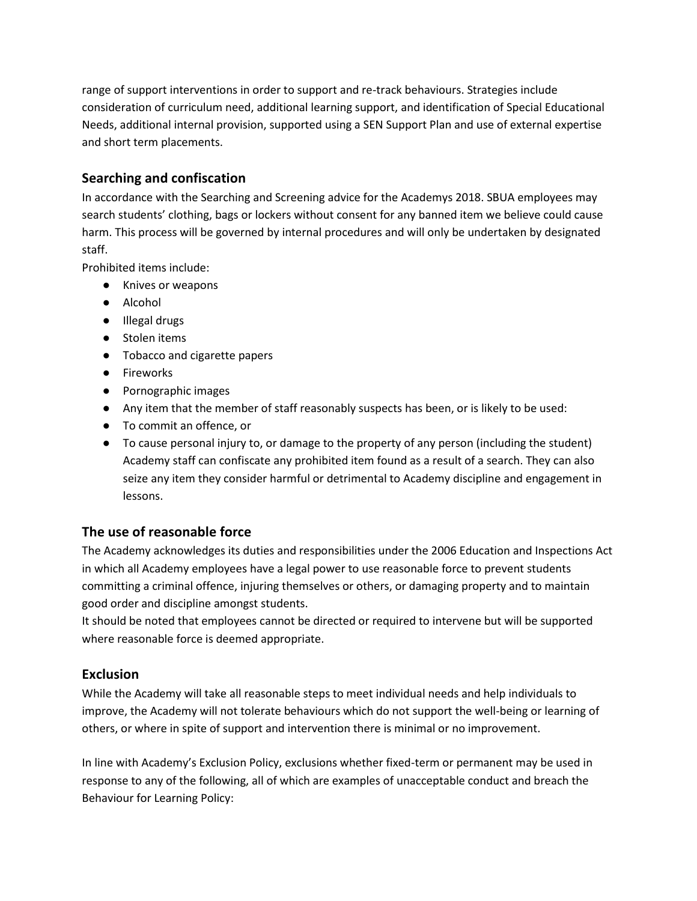range of support interventions in order to support and re-track behaviours. Strategies include consideration of curriculum need, additional learning support, and identification of Special Educational Needs, additional internal provision, supported using a SEN Support Plan and use of external expertise and short term placements.

## **Searching and confiscation**

In accordance with the Searching and Screening advice for the Academys 2018. SBUA employees may search students' clothing, bags or lockers without consent for any banned item we believe could cause harm. This process will be governed by internal procedures and will only be undertaken by designated staff.

Prohibited items include:

- Knives or weapons
- Alcohol
- Illegal drugs
- Stolen items
- Tobacco and cigarette papers
- Fireworks
- Pornographic images
- Any item that the member of staff reasonably suspects has been, or is likely to be used:
- To commit an offence, or
- To cause personal injury to, or damage to the property of any person (including the student) Academy staff can confiscate any prohibited item found as a result of a search. They can also seize any item they consider harmful or detrimental to Academy discipline and engagement in lessons.

## **The use of reasonable force**

The Academy acknowledges its duties and responsibilities under the 2006 Education and Inspections Act in which all Academy employees have a legal power to use reasonable force to prevent students committing a criminal offence, injuring themselves or others, or damaging property and to maintain good order and discipline amongst students.

It should be noted that employees cannot be directed or required to intervene but will be supported where reasonable force is deemed appropriate.

## **Exclusion**

While the Academy will take all reasonable steps to meet individual needs and help individuals to improve, the Academy will not tolerate behaviours which do not support the well-being or learning of others, or where in spite of support and intervention there is minimal or no improvement.

In line with Academy's Exclusion Policy, exclusions whether fixed-term or permanent may be used in response to any of the following, all of which are examples of unacceptable conduct and breach the Behaviour for Learning Policy: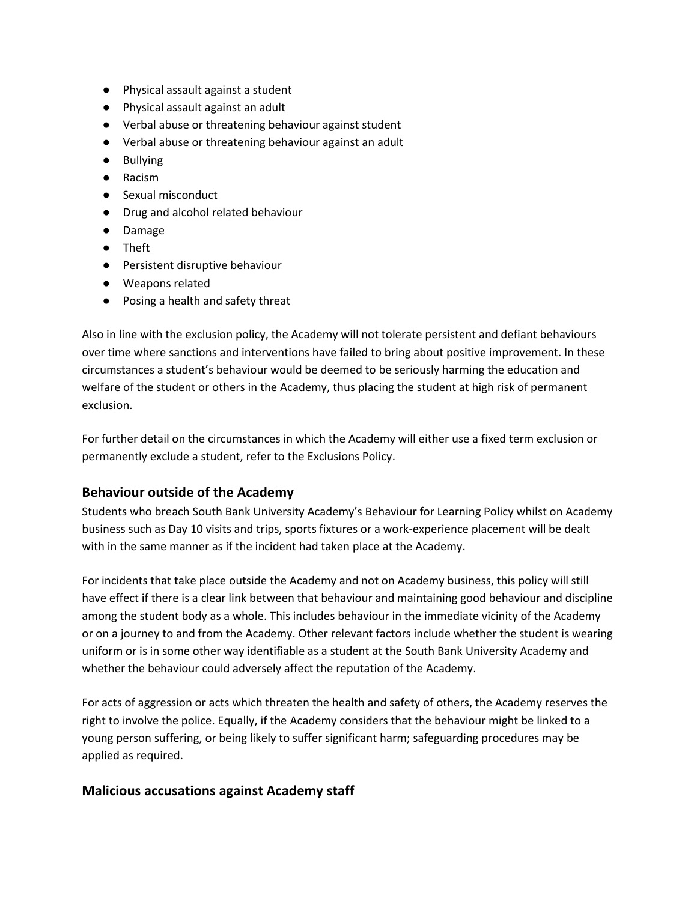- Physical assault against a student
- Physical assault against an adult
- Verbal abuse or threatening behaviour against student
- Verbal abuse or threatening behaviour against an adult
- Bullying
- Racism
- Sexual misconduct
- Drug and alcohol related behaviour
- Damage
- Theft
- Persistent disruptive behaviour
- Weapons related
- Posing a health and safety threat

Also in line with the exclusion policy, the Academy will not tolerate persistent and defiant behaviours over time where sanctions and interventions have failed to bring about positive improvement. In these circumstances a student's behaviour would be deemed to be seriously harming the education and welfare of the student or others in the Academy, thus placing the student at high risk of permanent exclusion.

For further detail on the circumstances in which the Academy will either use a fixed term exclusion or permanently exclude a student, refer to the Exclusions Policy.

## **Behaviour outside of the Academy**

Students who breach South Bank University Academy's Behaviour for Learning Policy whilst on Academy business such as Day 10 visits and trips, sports fixtures or a work-experience placement will be dealt with in the same manner as if the incident had taken place at the Academy.

For incidents that take place outside the Academy and not on Academy business, this policy will still have effect if there is a clear link between that behaviour and maintaining good behaviour and discipline among the student body as a whole. This includes behaviour in the immediate vicinity of the Academy or on a journey to and from the Academy. Other relevant factors include whether the student is wearing uniform or is in some other way identifiable as a student at the South Bank University Academy and whether the behaviour could adversely affect the reputation of the Academy.

For acts of aggression or acts which threaten the health and safety of others, the Academy reserves the right to involve the police. Equally, if the Academy considers that the behaviour might be linked to a young person suffering, or being likely to suffer significant harm; safeguarding procedures may be applied as required.

## **Malicious accusations against Academy staff**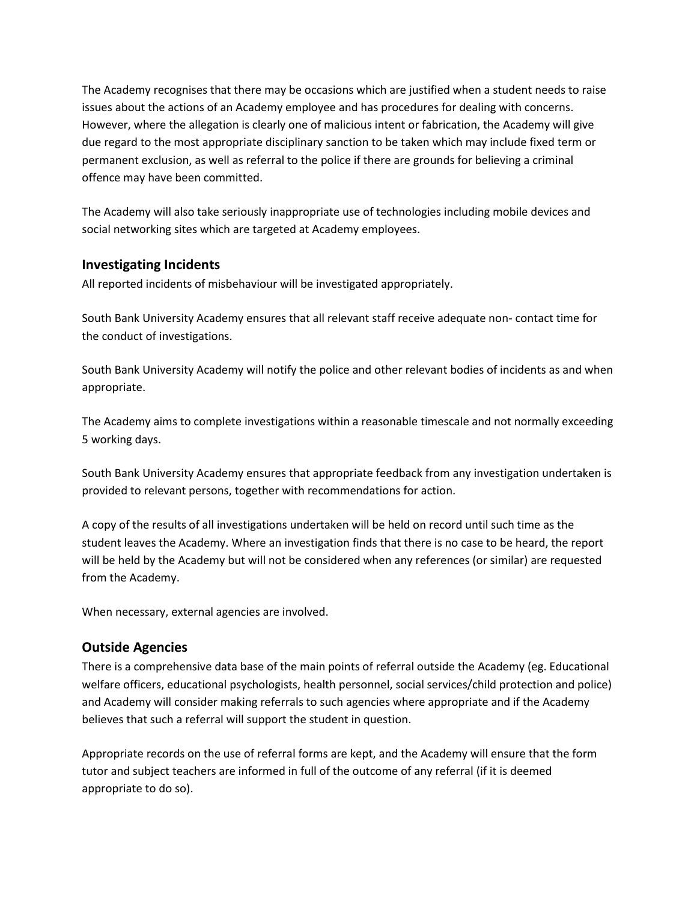The Academy recognises that there may be occasions which are justified when a student needs to raise issues about the actions of an Academy employee and has procedures for dealing with concerns. However, where the allegation is clearly one of malicious intent or fabrication, the Academy will give due regard to the most appropriate disciplinary sanction to be taken which may include fixed term or permanent exclusion, as well as referral to the police if there are grounds for believing a criminal offence may have been committed.

The Academy will also take seriously inappropriate use of technologies including mobile devices and social networking sites which are targeted at Academy employees.

#### **Investigating Incidents**

All reported incidents of misbehaviour will be investigated appropriately.

South Bank University Academy ensures that all relevant staff receive adequate non- contact time for the conduct of investigations.

South Bank University Academy will notify the police and other relevant bodies of incidents as and when appropriate.

The Academy aims to complete investigations within a reasonable timescale and not normally exceeding 5 working days.

South Bank University Academy ensures that appropriate feedback from any investigation undertaken is provided to relevant persons, together with recommendations for action.

A copy of the results of all investigations undertaken will be held on record until such time as the student leaves the Academy. Where an investigation finds that there is no case to be heard, the report will be held by the Academy but will not be considered when any references (or similar) are requested from the Academy.

When necessary, external agencies are involved.

## **Outside Agencies**

There is a comprehensive data base of the main points of referral outside the Academy (eg. Educational welfare officers, educational psychologists, health personnel, social services/child protection and police) and Academy will consider making referrals to such agencies where appropriate and if the Academy believes that such a referral will support the student in question.

Appropriate records on the use of referral forms are kept, and the Academy will ensure that the form tutor and subject teachers are informed in full of the outcome of any referral (if it is deemed appropriate to do so).